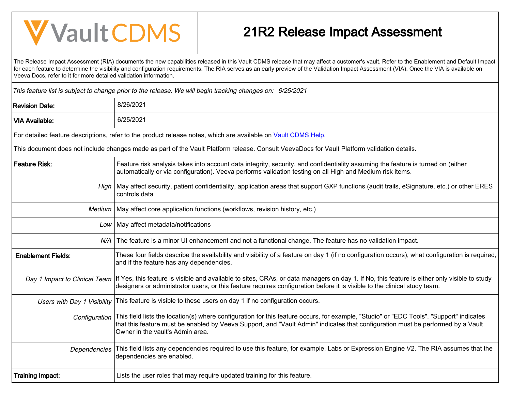## **V** Vault CDMS

## 21R2 Release Impact Assessment

The Release Impact Assessment (RIA) documents the new capabilities released in this Vault CDMS release that may affect a customer's vault. Refer to the Enablement and Default Impact for each feature to determine the visibility and configuration requirements. The RIA serves as an early preview of the Validation Impact Assessment (VIA). Once the VIA is available on Veeva Docs, refer to it for more detailed validation information.

This feature list is subject to change prior to the release. We will begin tracking changes on: 6/25/2021

| <b>Revision Date:</b>       | 8/26/2021                                                                                                                                                                                                                                                                                                      |
|-----------------------------|----------------------------------------------------------------------------------------------------------------------------------------------------------------------------------------------------------------------------------------------------------------------------------------------------------------|
| <b>VIA Available:</b>       | 6/25/2021                                                                                                                                                                                                                                                                                                      |
|                             | For detailed feature descriptions, refer to the product release notes, which are available on Vault CDMS Help.                                                                                                                                                                                                 |
|                             | This document does not include changes made as part of the Vault Platform release. Consult VeevaDocs for Vault Platform validation details.                                                                                                                                                                    |
| <b>Feature Risk:</b>        | Feature risk analysis takes into account data integrity, security, and confidentiality assuming the feature is turned on (either<br>automatically or via configuration). Veeva performs validation testing on all High and Medium risk items.                                                                  |
|                             | High   May affect security, patient confidentiality, application areas that support GXP functions (audit trails, eSignature, etc.) or other ERES<br>controls data                                                                                                                                              |
| Medium                      | May affect core application functions (workflows, revision history, etc.)                                                                                                                                                                                                                                      |
|                             | Low   May affect metadata/notifications                                                                                                                                                                                                                                                                        |
|                             | N/A The feature is a minor UI enhancement and not a functional change. The feature has no validation impact.                                                                                                                                                                                                   |
| <b>Enablement Fields:</b>   | These four fields describe the availability and visibility of a feature on day 1 (if no configuration occurs), what configuration is required,<br>and if the feature has any dependencies.                                                                                                                     |
|                             | Day 1 Impact to Clinical Team   If Yes, this feature is visible and available to sites, CRAs, or data managers on day 1. If No, this feature is either only visible to study<br>designers or administrator users, or this feature requires configuration before it is visible to the clinical study team.      |
| Users with Day 1 Visibility | This feature is visible to these users on day 1 if no configuration occurs.                                                                                                                                                                                                                                    |
| Configuration               | This field lists the location(s) where configuration for this feature occurs, for example, "Studio" or "EDC Tools". "Support" indicates<br>that this feature must be enabled by Veeva Support, and "Vault Admin" indicates that configuration must be performed by a Vault<br>Owner in the vault's Admin area. |
| Dependencies                | This field lists any dependencies required to use this feature, for example, Labs or Expression Engine V2. The RIA assumes that the<br>dependencies are enabled.                                                                                                                                               |
| <b>Training Impact:</b>     | Lists the user roles that may require updated training for this feature.                                                                                                                                                                                                                                       |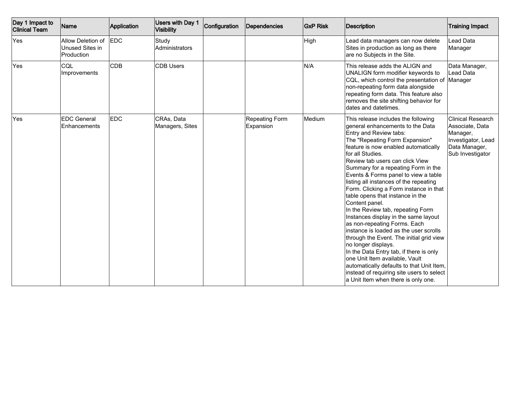| Day 1 Impact to<br><b>Clinical Team</b> | Name                                               | Application | Users with Day 1<br>Visibility | Configuration | Dependencies                | <b>GxP Risk</b> | <b>Description</b>                                                                                                                                                                                                                                                                                                                                                                                                                                                                                                                                                                                                                                                                                                                                                                                                                                                                                  | <b>Training Impact</b>                                                                                             |
|-----------------------------------------|----------------------------------------------------|-------------|--------------------------------|---------------|-----------------------------|-----------------|-----------------------------------------------------------------------------------------------------------------------------------------------------------------------------------------------------------------------------------------------------------------------------------------------------------------------------------------------------------------------------------------------------------------------------------------------------------------------------------------------------------------------------------------------------------------------------------------------------------------------------------------------------------------------------------------------------------------------------------------------------------------------------------------------------------------------------------------------------------------------------------------------------|--------------------------------------------------------------------------------------------------------------------|
| Yes                                     | Allow Deletion of<br>Unused Sites in<br>Production | <b>EDC</b>  | Study<br>Administrators        |               |                             | High            | Lead data managers can now delete<br>Sites in production as long as there<br>are no Subjects in the Site.                                                                                                                                                                                                                                                                                                                                                                                                                                                                                                                                                                                                                                                                                                                                                                                           | Lead Data<br>Manager                                                                                               |
| Yes                                     | CQL<br>Improvements                                | <b>CDB</b>  | <b>CDB Users</b>               |               |                             | N/A             | This release adds the ALIGN and<br>UNALIGN form modifier keywords to<br>CQL, which control the presentation of Manager<br>non-repeating form data alongside<br>repeating form data. This feature also<br>removes the site shifting behavior for<br>dates and datetimes.                                                                                                                                                                                                                                                                                                                                                                                                                                                                                                                                                                                                                             | Data Manager,<br>Lead Data                                                                                         |
| Yes                                     | <b>EDC General</b><br>Enhancements                 | <b>EDC</b>  | CRAs, Data<br>Managers, Sites  |               | Repeating Form<br>Expansion | Medium          | This release includes the following<br>qeneral enhancements to the Data<br>Entry and Review tabs:<br>The "Repeating Form Expansion"<br>feature is now enabled automatically<br>for all Studies.<br>Review tab users can click View<br>Summary for a repeating Form in the<br>Events & Forms panel to view a table<br>listing all instances of the repeating<br>Form. Clicking a Form instance in that<br>table opens that instance in the<br>Content panel.<br>In the Review tab, repeating Form<br>Instances display in the same layout<br>as non-repeating Forms. Each<br>instance is loaded as the user scrolls<br>through the Event. The initial grid view<br>no longer displays.<br>In the Data Entry tab, if there is only<br>one Unit Item available, Vault<br>automatically defaults to that Unit Item,<br>instead of requiring site users to select<br>a Unit Item when there is only one. | <b>Clinical Research</b><br>Associate, Data<br>Manager,<br>Investigator, Lead<br>Data Manager,<br>Sub Investigator |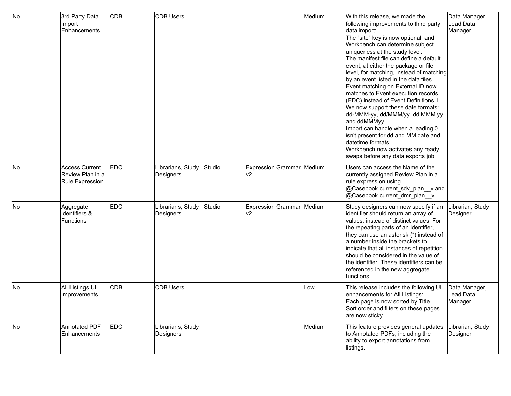| No | 3rd Party Data<br> Import<br>Enhancements             | CD <sub>B</sub> | <b>CDB Users</b>               |        |                                  | Medium | With this release, we made the<br>following improvements to third party<br>data import:<br>The "site" key is now optional, and<br>Workbench can determine subject<br>uniqueness at the study level.<br>The manifest file can define a default<br>event, at either the package or file<br>level, for matching, instead of matching<br>by an event listed in the data files.<br>Event matching on External ID now<br>matches to Event execution records<br>(EDC) instead of Event Definitions. I<br>We now support these date formats:<br> dd-MMM-yy, dd/MMM/yy, dd MMM yy,<br>and ddMMMyy.<br>Import can handle when a leading 0<br>isn't present for dd and MM date and<br>datetime formats.<br>Workbench now activates any ready<br>swaps before any data exports job. | Data Manager,<br>Lead Data<br>Manager |
|----|-------------------------------------------------------|-----------------|--------------------------------|--------|----------------------------------|--------|-------------------------------------------------------------------------------------------------------------------------------------------------------------------------------------------------------------------------------------------------------------------------------------------------------------------------------------------------------------------------------------------------------------------------------------------------------------------------------------------------------------------------------------------------------------------------------------------------------------------------------------------------------------------------------------------------------------------------------------------------------------------------|---------------------------------------|
| No | Access Current<br>Review Plan in a<br>Rule Expression | <b>EDC</b>      | Librarians, Study<br>Designers | Studio | Expression Grammar Medium<br>lv2 |        | Users can access the Name of the<br>currently assigned Review Plan in a<br>rule expression using<br>@Casebook.current_sdv_plan_v and<br>@Casebook.current dmr plan v.                                                                                                                                                                                                                                                                                                                                                                                                                                                                                                                                                                                                   |                                       |
| No | Aggregate<br>Identifiers &<br>Functions               | <b>EDC</b>      | Librarians, Study<br>Designers | Studio | Expression Grammar Medium<br>lv2 |        | Study designers can now specify if an<br>identifier should return an array of<br>values, instead of distinct values. For<br>the repeating parts of an identifier,<br>they can use an asterisk (*) instead of<br>a number inside the brackets to<br>indicate that all instances of repetition<br>should be considered in the value of<br>the identifier. These identifiers can be<br>referenced in the new aggregate<br>functions.                                                                                                                                                                                                                                                                                                                                       | Librarian, Study<br>Designer          |
| No | All Listings UI<br>Improvements                       | <b>CDB</b>      | <b>CDB Users</b>               |        |                                  | Low    | This release includes the following UI<br>enhancements for All Listings:<br>Each page is now sorted by Title.<br>Sort order and filters on these pages<br>are now sticky.                                                                                                                                                                                                                                                                                                                                                                                                                                                                                                                                                                                               | Data Manager,<br>Lead Data<br>Manager |
| No | Annotated PDF<br>Enhancements                         | <b>EDC</b>      | Librarians, Study<br>Designers |        |                                  | Medium | This feature provides general updates<br>to Annotated PDFs, including the<br>ability to export annotations from<br>listings.                                                                                                                                                                                                                                                                                                                                                                                                                                                                                                                                                                                                                                            | Librarian, Study<br>Designer          |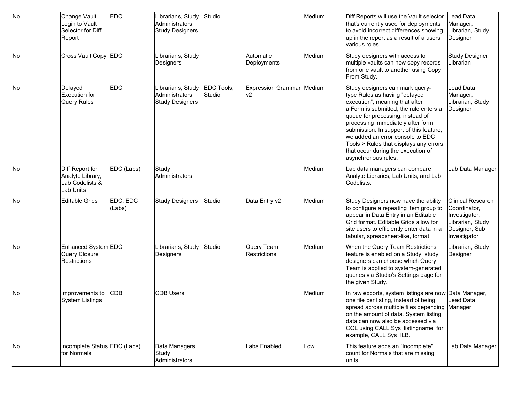| No | Change Vault<br>Login to Vault<br>Selector for Diff<br>Report       | <b>EDC</b>         | Librarians, Study<br>Administrators,<br><b>Study Designers</b> | Studio               |                                  | Medium | Diff Reports will use the Vault selector<br>that's currently used for deployments<br>to avoid incorrect differences showing<br>up in the report as a result of a users<br>various roles.                                                                                                                                                                                                                    | Lead Data<br>Manager,<br>Librarian, Study<br>Designer                                                          |
|----|---------------------------------------------------------------------|--------------------|----------------------------------------------------------------|----------------------|----------------------------------|--------|-------------------------------------------------------------------------------------------------------------------------------------------------------------------------------------------------------------------------------------------------------------------------------------------------------------------------------------------------------------------------------------------------------------|----------------------------------------------------------------------------------------------------------------|
| No | Cross Vault Copy EDC                                                |                    | Librarians, Study<br>Designers                                 |                      | Automatic<br>Deployments         | Medium | Study designers with access to<br>multiple vaults can now copy records<br>from one vault to another using Copy<br>From Study.                                                                                                                                                                                                                                                                               | Study Designer,<br>Librarian                                                                                   |
| No | Delayed<br>Execution for<br><b>Query Rules</b>                      | <b>EDC</b>         | Librarians, Study<br>Administrators,<br><b>Study Designers</b> | EDC Tools,<br>Studio | Expression Grammar Medium<br>lv2 |        | Study designers can mark query-<br>type Rules as having "delayed<br>execution", meaning that after<br>a Form is submitted, the rule enters a<br>queue for processing, instead of<br>processing immediately after form<br>submission. In support of this feature,<br>we added an error console to EDC<br>Tools > Rules that displays any errors<br>that occur during the execution of<br>asynchronous rules. | Lead Data<br>Manager,<br>Librarian, Study<br>Designer                                                          |
| No | Diff Report for<br>Analyte Library,<br>Lab Codelists &<br>Lab Units | EDC (Labs)         | Study<br>Administrators                                        |                      |                                  | Medium | Lab data managers can compare<br>Analyte Libraries, Lab Units, and Lab<br>Codelists.                                                                                                                                                                                                                                                                                                                        | Lab Data Manager                                                                                               |
| No | <b>Editable Grids</b>                                               | EDC, EDC<br>(Labs) | <b>Study Designers</b>                                         | Studio               | Data Entry v2                    | Medium | Study Designers now have the ability<br>to configure a repeating item group to<br>appear in Data Entry in an Editable<br>Grid format. Editable Grids allow for<br>site users to efficiently enter data in a<br>tabular, spreadsheet-like, format.                                                                                                                                                           | <b>Clinical Research</b><br>Coordinator,<br>Investigator,<br>Librarian, Study<br>Designer, Sub<br>Investigator |
| No | Enhanced System EDC<br>Query Closure<br><b>Restrictions</b>         |                    | Librarians, Study<br>Designers                                 | Studio               | Query Team<br>Restrictions       | Medium | When the Query Team Restrictions<br>feature is enabled on a Study, study<br>designers can choose which Query<br>Team is applied to system-generated<br>queries via Studio's Settings page for<br>the given Study.                                                                                                                                                                                           | Librarian, Study<br>Designer                                                                                   |
| No | Improvements to<br>System Listings                                  | <b>CDB</b>         | <b>CDB Users</b>                                               |                      |                                  | Medium | In raw exports, system listings are now Data Manager,<br>one file per listing, instead of being<br>spread across multiple files depending Manager<br>on the amount of data. System listing<br>data can now also be accessed via<br>CQL using CALL Sys_listingname, for<br>example, CALL Sys ILB.                                                                                                            | Lead Data                                                                                                      |
| No | Incomplete Status EDC (Labs)<br>for Normals                         |                    | Data Managers,<br>Study<br>Administrators                      |                      | Labs Enabled                     | Low    | This feature adds an "Incomplete"<br>count for Normals that are missing<br>units.                                                                                                                                                                                                                                                                                                                           | Lab Data Manager                                                                                               |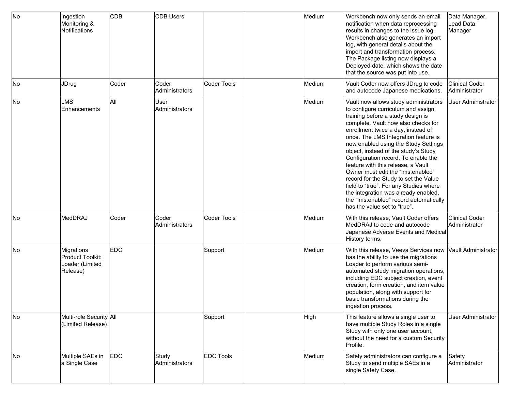| No | Ingestion<br>Monitoring &<br>Notifications                    | <b>CDB</b> | <b>CDB Users</b>              |                    | Medium | Workbench now only sends an email<br>notification when data reprocessing<br>results in changes to the issue log.<br>Workbench also generates an import<br>log, with general details about the<br>import and transformation process.<br>The Package listing now displays a<br>Deployed date, which shows the date<br>that the source was put into use.                                                                                                                                                                                                                                                                                        | Data Manager,<br>Lead Data<br>Manager  |
|----|---------------------------------------------------------------|------------|-------------------------------|--------------------|--------|----------------------------------------------------------------------------------------------------------------------------------------------------------------------------------------------------------------------------------------------------------------------------------------------------------------------------------------------------------------------------------------------------------------------------------------------------------------------------------------------------------------------------------------------------------------------------------------------------------------------------------------------|----------------------------------------|
| No | JDrug                                                         | Coder      | Coder<br>Administrators       | Coder Tools        | Medium | Vault Coder now offers JDrug to code<br>and autocode Japanese medications.                                                                                                                                                                                                                                                                                                                                                                                                                                                                                                                                                                   | <b>Clinical Coder</b><br>Administrator |
| No | <b>LMS</b><br>Enhancements                                    | All        | <b>User</b><br>Administrators |                    | Medium | Vault now allows study administrators<br>to configure curriculum and assign<br>training before a study design is<br>complete. Vault now also checks for<br>enrollment twice a day, instead of<br>once. The LMS Integration feature is<br>now enabled using the Study Settings<br>object, instead of the study's Study<br>Configuration record. To enable the<br>feature with this release, a Vault<br>Owner must edit the "Ims.enabled"<br>record for the Study to set the Value<br>field to "true". For any Studies where<br>the integration was already enabled,<br>the "Ims.enabled" record automatically<br>has the value set to "true". | <b>User Administrator</b>              |
| No | MedDRAJ                                                       | Coder      | Coder<br>Administrators       | <b>Coder Tools</b> | Medium | With this release, Vault Coder offers<br>MedDRAJ to code and autocode<br>Japanese Adverse Events and Medical<br>History terms.                                                                                                                                                                                                                                                                                                                                                                                                                                                                                                               | Clinical Coder<br>Administrator        |
| No | Migrations<br>Product Toolkit:<br>Loader (Limited<br>Release) | <b>EDC</b> |                               | Support            | Medium | With this release, Veeva Services now<br>has the ability to use the migrations<br>Loader to perform various semi-<br>automated study migration operations,<br>including EDC subject creation, event<br>creation, form creation, and item value<br>population, along with support for<br>basic transformations during the<br>ingestion process.                                                                                                                                                                                                                                                                                               | Vault Administrator                    |
| No | Multi-role Security All<br>(Limited Release)                  |            |                               | Support            | High   | This feature allows a single user to<br>have multiple Study Roles in a single<br>Study with only one user account,<br>without the need for a custom Security<br>Profile.                                                                                                                                                                                                                                                                                                                                                                                                                                                                     | <b>User Administrator</b>              |
| No | Multiple SAEs in<br>a Single Case                             | EDC        | Study<br>Administrators       | <b>EDC Tools</b>   | Medium | Safety administrators can configure a<br>Study to send multiple SAEs in a<br>single Safety Case.                                                                                                                                                                                                                                                                                                                                                                                                                                                                                                                                             | Safety<br>Administrator                |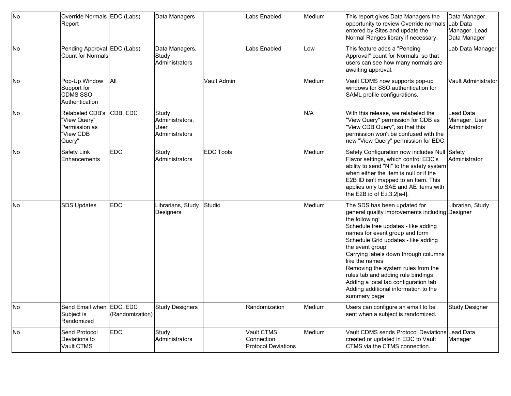| No | Override Normals EDC (Labs)<br>Report                                   |                 | Data Managers                                      |                  | Labs Enabled                                           | Medium | This report gives Data Managers the<br>opportunity to review Override normals Lab Data<br>entered by Sites and update the<br>Normal Ranges library if necessary.                                                                                                                                                                                                                                                                                                           | Data Manager,<br>Manager, Lead<br>Data Manager     |
|----|-------------------------------------------------------------------------|-----------------|----------------------------------------------------|------------------|--------------------------------------------------------|--------|----------------------------------------------------------------------------------------------------------------------------------------------------------------------------------------------------------------------------------------------------------------------------------------------------------------------------------------------------------------------------------------------------------------------------------------------------------------------------|----------------------------------------------------|
| No | Pending Approval EDC (Labs)<br><b>Count for Normals</b>                 |                 | Data Managers,<br>Study<br>Administrators          |                  | Labs Enabled                                           | Low    | This feature adds a "Pending<br>Approval" count for Normals, so that<br>users can see how many normals are<br>awaiting approval.                                                                                                                                                                                                                                                                                                                                           | Lab Data Manager                                   |
| No | Pop-Up Window<br>Support for<br><b>CDMS SSO</b><br>Authentication       | All             |                                                    | Vault Admin      |                                                        | Medium | Vault CDMS now supports pop-up<br>windows for SSO authentication for<br>SAML profile configurations.                                                                                                                                                                                                                                                                                                                                                                       | Vault Administrator                                |
| No | Relabeled CDB's<br>"View Query"<br>Permission as<br>'View CDB<br>Query" | CDB, EDC        | Study<br>Administrators,<br>User<br>Administrators |                  |                                                        | N/A    | With this release, we relabeled the<br>"View Query" permission for CDB as<br>"View CDB Query", so that this<br>permission won't be confused with the<br>new "View Query" permission for EDC.                                                                                                                                                                                                                                                                               | Lead Data<br>Manager, User<br><b>Administrator</b> |
| No | Safety Link<br>Enhancements                                             | <b>EDC</b>      | Study<br>Administrators                            | <b>EDC Tools</b> |                                                        | Medium | Safety Configuration now includes Null Safety<br>Flavor settings, which control EDC's<br>ability to send "NI" to the safety system<br>when either the Item is null or if the<br>E2B ID isn't mapped to an Item. This<br>applies only to SAE and AE items with<br>the E2B id of E.i.3.2[a-f].                                                                                                                                                                               | Administrator                                      |
| No | <b>SDS Updates</b>                                                      | <b>EDC</b>      | Librarians, Study<br>Designers                     | Studio           |                                                        | Medium | The SDS has been updated for<br>general quality improvements including Designer<br>the following:<br>Schedule tree updates - like adding<br>names for event group and form<br>Schedule Grid updates - like adding<br>the event group<br>Carrying labels down through columns<br>like the names<br>Removing the system rules from the<br>rules tab and adding rule bindings<br>Adding a local lab configuration tab<br>Adding additional information to the<br>summary page | Librarian, Study                                   |
| No | Send Email when EDC, EDC<br>Subject is<br>Randomized                    | (Randomization) | Study Designers                                    |                  | Randomization                                          | Medium | Users can configure an email to be<br>sent when a subject is randomized.                                                                                                                                                                                                                                                                                                                                                                                                   | Study Designer                                     |
| No | Send Protocol<br>Deviations to<br>Vault CTMS                            | <b>EDC</b>      | Study<br>Administrators                            |                  | Vault CTMS<br>Connection<br><b>Protocol Deviations</b> | Medium | Vault CDMS sends Protocol Deviations Lead Data<br>created or updated in EDC to Vault<br>CTMS via the CTMS connection.                                                                                                                                                                                                                                                                                                                                                      | Manager                                            |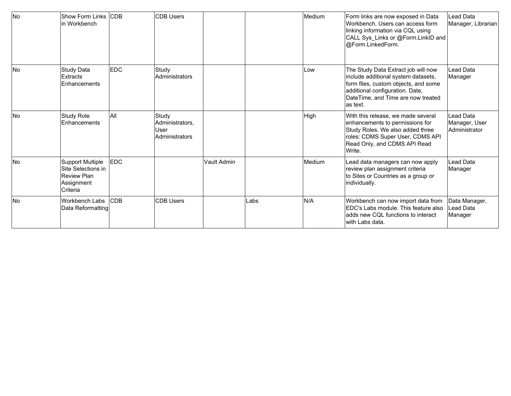| <b>No</b> | Show Form Links ICDB<br>lin Workbench                                                          |             | <b>CDB Users</b>                                          |             |      | Medium | Form links are now exposed in Data<br>Workbench. Users can access form<br>linking information via CQL using<br>CALL Sys_Links or @Form.LinkID and<br>@Form.LinkedForm.                                   | Lead Data<br>Manager, Librarian             |
|-----------|------------------------------------------------------------------------------------------------|-------------|-----------------------------------------------------------|-------------|------|--------|----------------------------------------------------------------------------------------------------------------------------------------------------------------------------------------------------------|---------------------------------------------|
| <b>No</b> | <b>Study Data</b><br>Extracts<br>Enhancements                                                  | <b>EDC</b>  | Study<br>Administrators                                   |             |      | Low    | The Study Data Extract job will now<br>include additional system datasets,<br>form files, custom objects, and some<br>additional configuration. Date,<br>DateTime, and Time are now treated<br>las text. | Lead Data<br>Manager                        |
| <b>No</b> | <b>Study Role</b><br>Enhancements                                                              | All         | Study<br>Administrators.<br><b>User</b><br>Administrators |             |      | High   | With this release, we made several<br>enhancements to permissions for<br>Study Roles. We also added three<br>roles: CDMS Super User, CDMS API<br>Read Only, and CDMS API Read<br>Write.                  | Lead Data<br>Manager, User<br>Administrator |
| <b>No</b> | <b>Support Multiple</b><br>lSite Selections in<br><b>Review Plan</b><br>Assignment<br>Criteria | <b>IEDC</b> |                                                           | Vault Admin |      | Medium | Lead data managers can now apply<br>review plan assignment criteria<br>to Sites or Countries as a group or<br>individually.                                                                              | Lead Data<br>Manager                        |
| <b>No</b> | Workbench Labs<br>Data Reformatting                                                            | <b>CDB</b>  | <b>CDB Users</b>                                          |             | Labs | N/A    | Workbench can now import data from<br>EDC's Labs module. This feature also<br>ladds new CQL functions to interact<br>lwith Labs data.                                                                    | Data Manager,<br>Lead Data<br>Manager       |